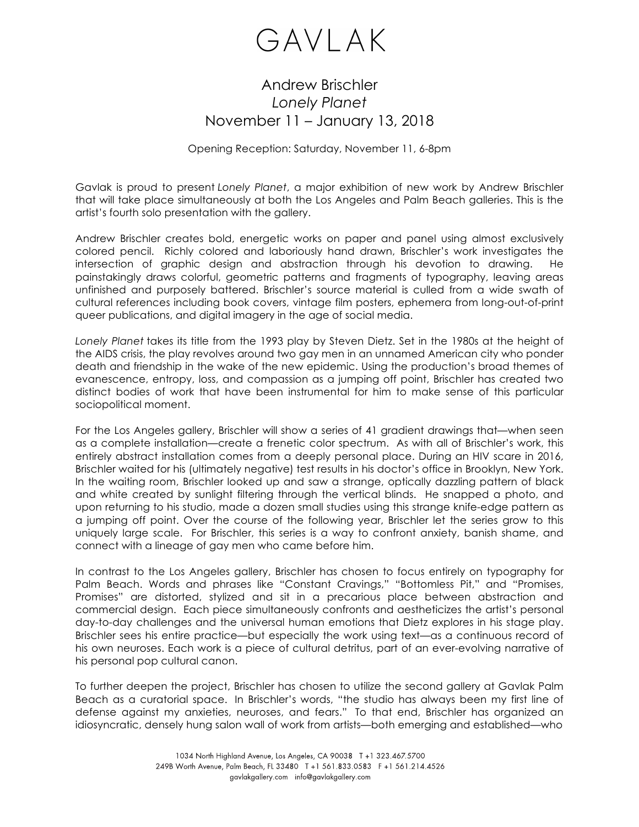

## Andrew Brischler *Lonely Planet* November 11 – January 13, 2018

Opening Reception: Saturday, November 11, 6-8pm

Gavlak is proud to present *Lonely Planet*, a major exhibition of new work by Andrew Brischler that will take place simultaneously at both the Los Angeles and Palm Beach galleries. This is the artist's fourth solo presentation with the gallery.

Andrew Brischler creates bold, energetic works on paper and panel using almost exclusively colored pencil. Richly colored and laboriously hand drawn, Brischler's work investigates the intersection of graphic design and abstraction through his devotion to drawing. He painstakingly draws colorful, geometric patterns and fragments of typography, leaving areas unfinished and purposely battered. Brischler's source material is culled from a wide swath of cultural references including book covers, vintage film posters, ephemera from long-out-of-print queer publications, and digital imagery in the age of social media.

*Lonely Planet* takes its title from the 1993 play by Steven Dietz. Set in the 1980s at the height of the AIDS crisis, the play revolves around two gay men in an unnamed American city who ponder death and friendship in the wake of the new epidemic. Using the production's broad themes of evanescence, entropy, loss, and compassion as a jumping off point, Brischler has created two distinct bodies of work that have been instrumental for him to make sense of this particular sociopolitical moment.

For the Los Angeles gallery, Brischler will show a series of 41 gradient drawings that—when seen as a complete installation—create a frenetic color spectrum. As with all of Brischler's work, this entirely abstract installation comes from a deeply personal place. During an HIV scare in 2016, Brischler waited for his (ultimately negative) test results in his doctor's office in Brooklyn, New York. In the waiting room, Brischler looked up and saw a strange, optically dazzling pattern of black and white created by sunlight filtering through the vertical blinds. He snapped a photo, and upon returning to his studio, made a dozen small studies using this strange knife-edge pattern as a jumping off point. Over the course of the following year, Brischler let the series grow to this uniquely large scale. For Brischler, this series is a way to confront anxiety, banish shame, and connect with a lineage of gay men who came before him.

In contrast to the Los Angeles gallery, Brischler has chosen to focus entirely on typography for Palm Beach. Words and phrases like "Constant Cravings," "Bottomless Pit," and "Promises, Promises" are distorted, stylized and sit in a precarious place between abstraction and commercial design. Each piece simultaneously confronts and aestheticizes the artist's personal day-to-day challenges and the universal human emotions that Dietz explores in his stage play. Brischler sees his entire practice—but especially the work using text—as a continuous record of his own neuroses. Each work is a piece of cultural detritus, part of an ever-evolving narrative of his personal pop cultural canon.

To further deepen the project, Brischler has chosen to utilize the second gallery at Gavlak Palm Beach as a curatorial space. In Brischler's words, "the studio has always been my first line of defense against my anxieties, neuroses, and fears." To that end, Brischler has organized an idiosyncratic, densely hung salon wall of work from artists—both emerging and established—who